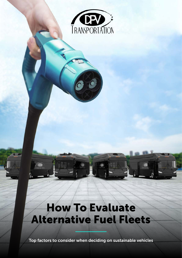

# How To Evaluate Alternative Fuel Fleets

 $\mathbf{D}$ 

Top factors to consider when deciding on sustainable vehicles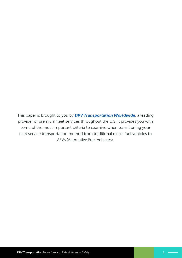This paper is brought to you by *[DPV Transportation Worldwide](https://www.dpvtransportation.com/)*, a leading provider of premium fleet services throughout the U.S. It provides you with some of the most important criteria to examine when transitioning your fleet service transportation method from traditional diesel fuel vehicles to AFVs (Alternative Fuel Vehicles).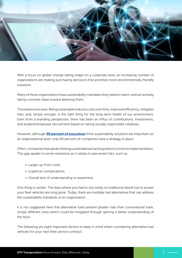

With a focus on global change taking shape on a corporate level, an increasing number of organizations are making purchasing decisions that prioritize more environmentally friendly solutions.

Many of these organizations have sustainability mandates they need to reach, and are actively taking concrete steps toward attaining them.

The reasons are clear. Being sustainable reduces costs over time, improves efficiency, mitigates risks, and, simply enough, is the right thing for the long-term health of our environment. Even from a branding perspective, there has been an influx of contributions, investments, and student/employee recruitment based on taking socially responsible initiatives.

However, although *[90 percent of executives](https://sloanreview.mit.edu/projects/investing-for-a-sustainable-future/)* think sustainability solutions are important on an organizational level, only 60 percent of companies have a strategy in place.

Often, companies that speak of being sustainable are lacking when it comes to implementation. This gap speaks to some resistance as it relates to perceived risks, such as:

- Larger up-front costs
- Logistical complications
- Overall lack of understanding or awareness

One thing is certain: The days where you had to rely solely on traditional diesel fuel to power your fleet vehicles are long gone. Today, there are multiple fuel alternatives that can address the sustainability standards of an organization.

It is not suggested here that alternative fuels present greater risks than conventional fuels, simply different ones which could be mitigated through gaining a better understanding of the facts.

The following are eight important factors to keep in mind when considering alternative fuel vehicles for your next fleet service contract: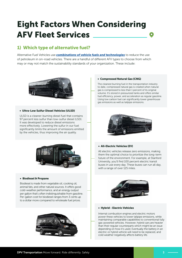## Eight Factors When Considering AFV Fleet Services

### 1) Which type of alternative fuel?

Alternative Fuel Vehicles use *[combinations of vehicle fuels and technologies](https://www.dvrpc.org/Reports/10055A.pdf)* to reduce the use of petroleum in on-road vehicles. There are a handful of different AFV types to choose from which may or may not match the sustainability standards of your organization. These include:

![](_page_3_Picture_3.jpeg)

#### • Ultra-Low Sulfur Diesel Vehicles (ULSD)

ULSD is a cleaner-burning diesel fuel that contains 97 percent less sulfur than low-sulfur diesel (LSD). It was developed to reduce diesel emissions more effectively. Lowering the sulfur in our fuel significantly limits the amount of emissions emitted by the vehicles, thus improving the air quality.

![](_page_3_Figure_6.jpeg)

#### • Biodiesel & Propane

Biodiesel is made from vegetable oil, cooking oil, animal fats, and other natural sources. It offers good cold-weather performance, and an energy output per gallon that's often indistinguishable from gasoline. Per-gallon cost for biodiesel ranges from 3 cents up to a dollar more compared to wholesale fuel prices.

![](_page_3_Picture_9.jpeg)

#### • Compressed Natural Gas (CNG)

The cleanest burning fuel in the transportation industry to date, compressed natural gas is created when natural gas is compressed to less than 1 percent of its original volume. It's stored in pressurized tanks and offers similar fuel efficiency, power, and acceleration as regular gasoline. Using low carbon fuel can significantly lower greenhouse gas emissions as well as tailpipe emissions.

![](_page_3_Picture_12.jpeg)

#### • All-Electric Vehicles (EV)

All electric vehicles release zero emissions, making them the optimal choice to prioritize the long-term future of the environment. For example, at Stanford University, you'll find 100 percent electric transit buses in use every day. These buses can run all day, with a range of over 125 miles.

![](_page_3_Picture_15.jpeg)

#### • Hybrid - Electric Vehicles

Internal combustion engines and electric motors power these vehicles to lower tailpipe emissions, while maintaining comparable capabilities to conventional fully gas-powered vehicles. However, hybrid cars are heavier than their regular counterparts which might be an issue depending on how it's used. Eventually the battery in an electric or hybrid vehicle will need to be replaced, and cold weather negatively affects battery life.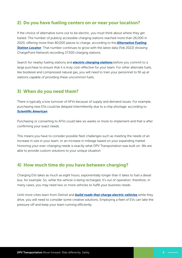#### 2) Do you have fueling centers on or near your location?

If the choice of alternative turns out to be electric, you must think about where they get fueled. The number of publicly accessible charging stations reached more than 26,000 in 2020, offering more than 80,000 places to charge, according to the *[Alternative Fueling](https://afdc.energy.gov/stations/#/find/nearest)*  **[Station Locator](https://afdc.energy.gov/stations/#/find/nearest)**. That number continues to grow with the latest data (Feb 2022) showing ChargePoint Network recording 27,500 charging stations.

Search for nearby fueling stations and *[electric charging stations](https://afdc.energy.gov/fuels/electricity_locations.html)* before you commit to a large purchase to ensure that it is truly cost-effective for your team. For other alternate fuels, like biodiesel and compressed natural gas, you will need to train your personnel to fill up at stations capable of providing these uncommon fuels.

#### 3) When do you need them?

There is typically a low turnover of AFVs because of supply and demand issues. For example, purchasing new EVs could be delayed intermittently due to a chip shortage, according to *[Scientific American](https://www.scientificamerican.com/article/chip-shortage-could-slow-electric-vehicle-rollouts/)*.

Purchasing or converting to AFVs could take six weeks or more to implement and that is after confirming your exact needs.

This means you have to consider possible fleet challenges such as meeting the needs of an increase in size in your team, or an increase in mileage based on your expanding market. Honoring your ever-changing needs is exactly what DPV Transportation was built on. We are able to provide custom solutions to your unique situation.

#### 4) How much time do you have between charging?

Charging EVs takes as much as eight hours, exponentially longer than it takes to fuel a diesel bus, for example. So, while the vehicle is being recharged, it's out of operation; therefore, in many cases, you may need two or more vehicles to fulfill your business needs.

Until more cities learn from Detroit and *[build roads that charge electric vehicles](https://www.businessinsider.com/public-road-detroit-to-charge-electric-cars-as-they-drive-2022-2)* while they drive, you will need to consider some creative solutions. Employing a fleet of EVs can take the pressure off and keep your team running efficiently.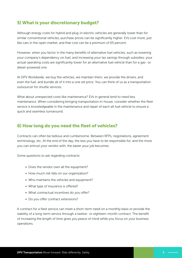#### 5) What is your discretionary budget?

Although energy costs for hybrid and plug-in electric vehicles are generally lower than for similar conventional vehicles, purchase prices can be significantly higher. EVs cost more, just like cars in the open market, and that cost can be a premium of 65 percent.

However, when you factor in the many benefits of alternative fuel vehicles, such as lowering your company's dependency on fuel, and increasing your tax savings through subsidies; your actual operating costs are significantly lower for an alternative fuel vehicle than for a gas- or diesel-powered one.

At DPV Worldwide, we buy the vehicles, we maintain them, we provide the drivers, and even the fuel, and bundle all of it into a one set price. You can think of us as a transportation outsourcer for shuttle services.

What about unexpected costs like maintenance? EVs in general tend to need less maintenance. When considering bringing transportation in-house, consider whether the fleet service is knowledgeable in the maintenance and repair of each alt fuel vehicle to ensure a quick and seamless turnaround.

#### 6) How long do you need the fleet of vehicles?

Contracts can often be tedious and cumbersome. Between RFPs, negotiations, agreement terminology, etc. At the end of the day, the less you have to be responsible for, and the more you can entrust your vendor with, the easier your job becomes.

Some questions to ask regarding contracts:

- Does the vendor own all the equipment?
- How much risk falls on our organization?
- Who maintains the vehicles and equipment?
- What type of insurance is offered?
- What contractual incentives do you offer?
- Do you offer contract extensions?

A contract for a fleet service can meet a short-term need on a monthly basis or provide the stability of a long-term service through a twelve- or eighteen-month contract. The benefit of increasing the length of time gives you peace of mind while you focus on your business operations.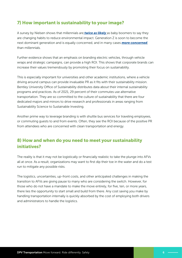### 7) How important is sustainability to your image?

A survey by Nielsen shows that millennials are *[twice as likely](https://www.nielsen.com/us/en/insights/article/2018/was-2018-the-year-of-the-influential-sustainable-consumer/#:~:text=When%20surveyed%2C%20Millennials%20are%20twice,sustainable%20ingredients%20(90%25%20vs.)* as baby boomers to say they are changing habits to reduce environmental impact. Generation Z is soon to become the next dominant generation and is equally concerned, and in many cases *[more concerned](https://www.forbes.com/sites/gregpetro/2020/01/31/sustainable-retail-how-gen-z-is-leading-the-pack/?sh=40052ca02ca3)*, than millennials.

Further evidence shows that an emphasis on branding electric vehicles, through vehicle wraps and strategic campaigns, can provide a high ROI. This shows that corporate brands can increase their values tremendously by promoting their focus on sustainability.

This is especially important for universities and other academic institutions, where a vehicle driving around campus can provide invaluable PR as it fits with their sustainability mission. Bentley University Office of Sustainability distributes data about their internal sustainability programs and practices. As of 2021, 29 percent of their commutes use alternative transportation. They are so committed to the culture of sustainability that there are four dedicated majors and minors to drive research and professionals in areas ranging from Sustainability Science to Sustainable Investing.

Another prime way to leverage branding is with shuttle bus services for traveling employees, or commuting guests to and from events. Often, they see the ROI because of the positive PR from attendees who are concerned with clean transportation and energy.

### 8) How and when do you need to meet your sustainability initiatives?

The reality is that it may not be logistically or financially realistic to take the plunge into AFVs all at once. As a result, organizations may want to first dip their toe in the water and do a test run to mitigate any possible risks.

The logistics, uncertainties, up-front costs, and other anticipated challenges in making the transition to AFVs are giving pause to many who are considering the switch. However, for those who do not have a mandate to make the move entirely, for five, ten, or more years, there lies the opportunity to start small and build from there. Any cost saving you make by handling transportation internally is quickly absorbed by the cost of employing both drivers and administrators to handle the logistics.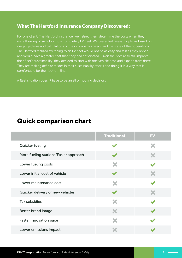#### What The Hartford Insurance Company Discovered:

For one client, The Hartford Insurance, we helped them determine the costs when they were thinking of switching to a completely EV fleet. We presented relevant options based on our projections and calculations of their company's needs and the state of their operations. The Hartford realized switching to an EV fleet would not be as easy and fast as they hoped, and would have a greater cost than they had anticipated. Given their desire to still improve their fleet's sustainability, they decided to start with one vehicle, test, and expand from there. They are making definite strides in their sustainability efforts and doing it in a way that is comfortable for their bottom line.

A fleet situation doesn't have to be an all or nothing decision.

## Quick comparison chart

|                                       | <b>Traditional</b> | <b>EV</b> |
|---------------------------------------|--------------------|-----------|
| Quicker fueling                       |                    |           |
| More fueling stations/Easier approach |                    |           |
| Lower fueling costs                   |                    |           |
| Lower initial cost of vehicle         |                    |           |
| Lower maintenance cost                |                    |           |
| Quicker delivery of new vehicles      |                    |           |
| <b>Tax subsidies</b>                  |                    |           |
| Better brand image                    |                    |           |
| Faster innovation pace                |                    |           |
| Lower emissions impact                |                    |           |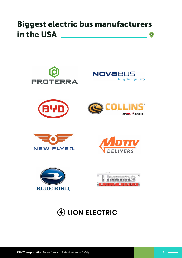## Biggest electric bus manufacturers in the USA $\bullet$

![](_page_8_Picture_1.jpeg)

## **100 ELECTRIC**